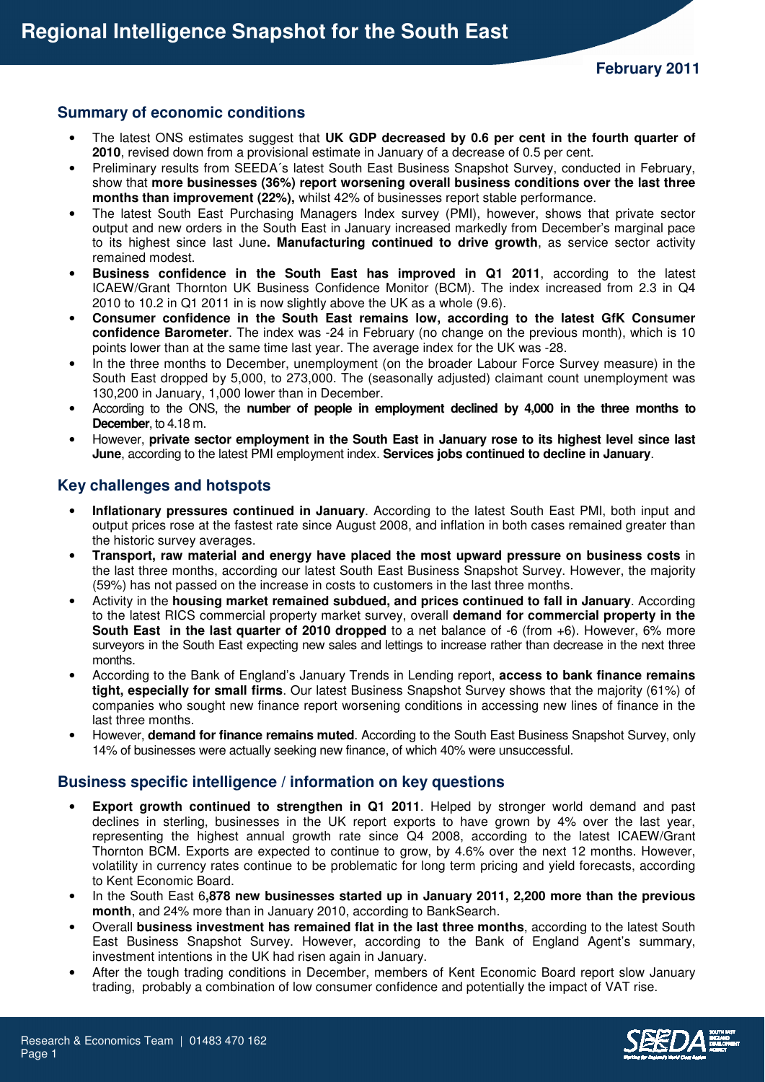### **Summary of economic conditions**

- The latest ONS estimates suggest that **UK GDP decreased by 0.6 per cent in the fourth quarter of 2010**, revised down from a provisional estimate in January of a decrease of 0.5 per cent.
- Preliminary results from SEEDA´s latest South East Business Snapshot Survey, conducted in February, show that **more businesses (36%) report worsening overall business conditions over the last three months than improvement (22%),** whilst 42% of businesses report stable performance.
- The latest South East Purchasing Managers Index survey (PMI), however, shows that private sector output and new orders in the South East in January increased markedly from December's marginal pace to its highest since last June**. Manufacturing continued to drive growth**, as service sector activity remained modest.
- **Business confidence in the South East has improved in Q1 2011**, according to the latest ICAEW/Grant Thornton UK Business Confidence Monitor (BCM). The index increased from 2.3 in Q4 2010 to 10.2 in Q1 2011 in is now slightly above the UK as a whole (9.6).
- **Consumer confidence in the South East remains low, according to the latest GfK Consumer confidence Barometer**. The index was -24 in February (no change on the previous month), which is 10 points lower than at the same time last year. The average index for the UK was -28.
- In the three months to December, unemployment (on the broader Labour Force Survey measure) in the South East dropped by 5,000, to 273,000. The (seasonally adjusted) claimant count unemployment was 130,200 in January, 1,000 lower than in December.
- According to the ONS, the **number of people in employment declined by 4,000 in the three months to December**, to 4.18 m.
- However, **private sector employment in the South East in January rose to its highest level since last June**, according to the latest PMI employment index. **Services jobs continued to decline in January**.

## **Key challenges and hotspots**

- **Inflationary pressures continued in January**. According to the latest South East PMI, both input and output prices rose at the fastest rate since August 2008, and inflation in both cases remained greater than the historic survey averages.
- **Transport, raw material and energy have placed the most upward pressure on business costs** in the last three months, according our latest South East Business Snapshot Survey. However, the majority (59%) has not passed on the increase in costs to customers in the last three months.
- Activity in the **housing market remained subdued, and prices continued to fall in January**. According to the latest RICS commercial property market survey, overall **demand for commercial property in the South East in the last quarter of 2010 dropped** to a net balance of -6 (from +6). However, 6% more surveyors in the South East expecting new sales and lettings to increase rather than decrease in the next three months.
- According to the Bank of England's January Trends in Lending report, **access to bank finance remains tight, especially for small firms**. Our latest Business Snapshot Survey shows that the majority (61%) of companies who sought new finance report worsening conditions in accessing new lines of finance in the last three months.
- However, **demand for finance remains muted**. According to the South East Business Snapshot Survey, only 14% of businesses were actually seeking new finance, of which 40% were unsuccessful.

### **Business specific intelligence / information on key questions**

- **Export growth continued to strengthen in Q1 2011**. Helped by stronger world demand and past declines in sterling, businesses in the UK report exports to have grown by 4% over the last year, representing the highest annual growth rate since Q4 2008, according to the latest ICAEW/Grant Thornton BCM. Exports are expected to continue to grow, by 4.6% over the next 12 months. However, volatility in currency rates continue to be problematic for long term pricing and yield forecasts, according to Kent Economic Board.
- In the South East 6**,878 new businesses started up in January 2011, 2,200 more than the previous month**, and 24% more than in January 2010, according to BankSearch.
- Overall **business investment has remained flat in the last three months**, according to the latest South East Business Snapshot Survey. However, according to the Bank of England Agent's summary, investment intentions in the UK had risen again in January.
- After the tough trading conditions in December, members of Kent Economic Board report slow January trading, probably a combination of low consumer confidence and potentially the impact of VAT rise.

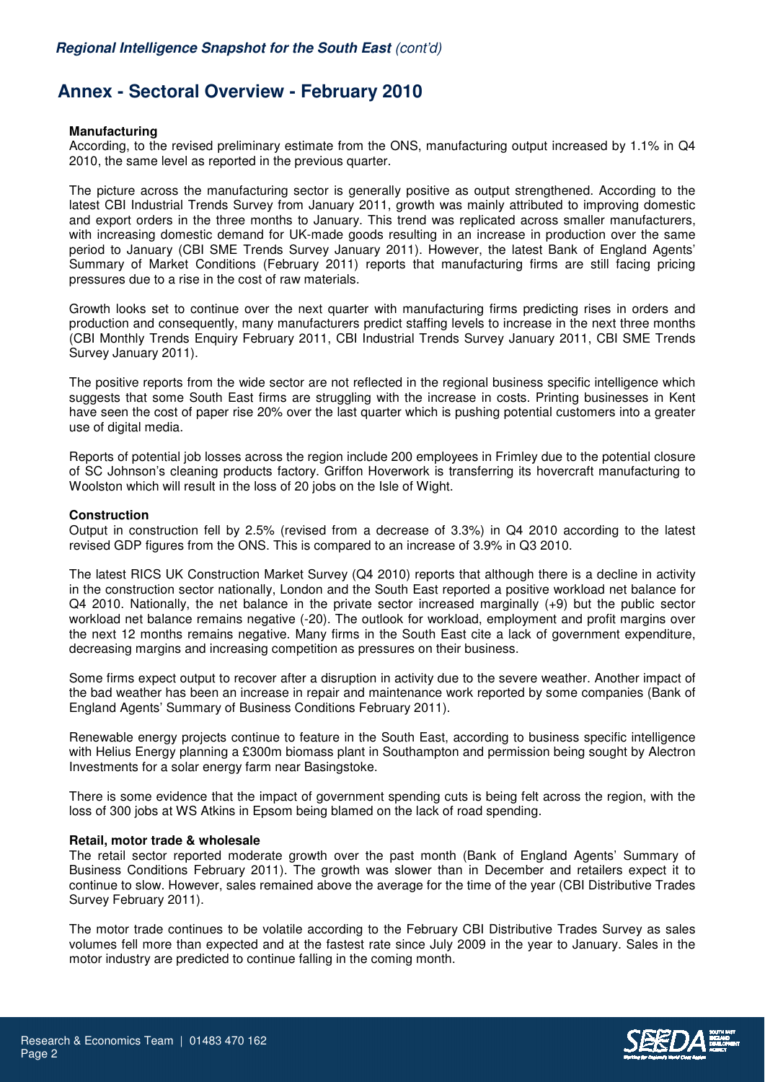# **Annex - Sectoral Overview - February 2010**

#### **Manufacturing**

According, to the revised preliminary estimate from the ONS, manufacturing output increased by 1.1% in Q4 2010, the same level as reported in the previous quarter.

The picture across the manufacturing sector is generally positive as output strengthened. According to the latest CBI Industrial Trends Survey from January 2011, growth was mainly attributed to improving domestic and export orders in the three months to January. This trend was replicated across smaller manufacturers, with increasing domestic demand for UK-made goods resulting in an increase in production over the same period to January (CBI SME Trends Survey January 2011). However, the latest Bank of England Agents' Summary of Market Conditions (February 2011) reports that manufacturing firms are still facing pricing pressures due to a rise in the cost of raw materials.

Growth looks set to continue over the next quarter with manufacturing firms predicting rises in orders and production and consequently, many manufacturers predict staffing levels to increase in the next three months (CBI Monthly Trends Enquiry February 2011, CBI Industrial Trends Survey January 2011, CBI SME Trends Survey January 2011).

The positive reports from the wide sector are not reflected in the regional business specific intelligence which suggests that some South East firms are struggling with the increase in costs. Printing businesses in Kent have seen the cost of paper rise 20% over the last quarter which is pushing potential customers into a greater use of digital media.

Reports of potential job losses across the region include 200 employees in Frimley due to the potential closure of SC Johnson's cleaning products factory. Griffon Hoverwork is transferring its hovercraft manufacturing to Woolston which will result in the loss of 20 jobs on the Isle of Wight.

### **Construction**

Output in construction fell by 2.5% (revised from a decrease of 3.3%) in Q4 2010 according to the latest revised GDP figures from the ONS. This is compared to an increase of 3.9% in Q3 2010.

The latest RICS UK Construction Market Survey (Q4 2010) reports that although there is a decline in activity in the construction sector nationally, London and the South East reported a positive workload net balance for Q4 2010. Nationally, the net balance in the private sector increased marginally (+9) but the public sector workload net balance remains negative (-20). The outlook for workload, employment and profit margins over the next 12 months remains negative. Many firms in the South East cite a lack of government expenditure, decreasing margins and increasing competition as pressures on their business.

Some firms expect output to recover after a disruption in activity due to the severe weather. Another impact of the bad weather has been an increase in repair and maintenance work reported by some companies (Bank of England Agents' Summary of Business Conditions February 2011).

Renewable energy projects continue to feature in the South East, according to business specific intelligence with Helius Energy planning a £300m biomass plant in Southampton and permission being sought by Alectron Investments for a solar energy farm near Basingstoke.

There is some evidence that the impact of government spending cuts is being felt across the region, with the loss of 300 jobs at WS Atkins in Epsom being blamed on the lack of road spending.

#### **Retail, motor trade & wholesale**

The retail sector reported moderate growth over the past month (Bank of England Agents' Summary of Business Conditions February 2011). The growth was slower than in December and retailers expect it to continue to slow. However, sales remained above the average for the time of the year (CBI Distributive Trades Survey February 2011).

The motor trade continues to be volatile according to the February CBI Distributive Trades Survey as sales volumes fell more than expected and at the fastest rate since July 2009 in the year to January. Sales in the motor industry are predicted to continue falling in the coming month.

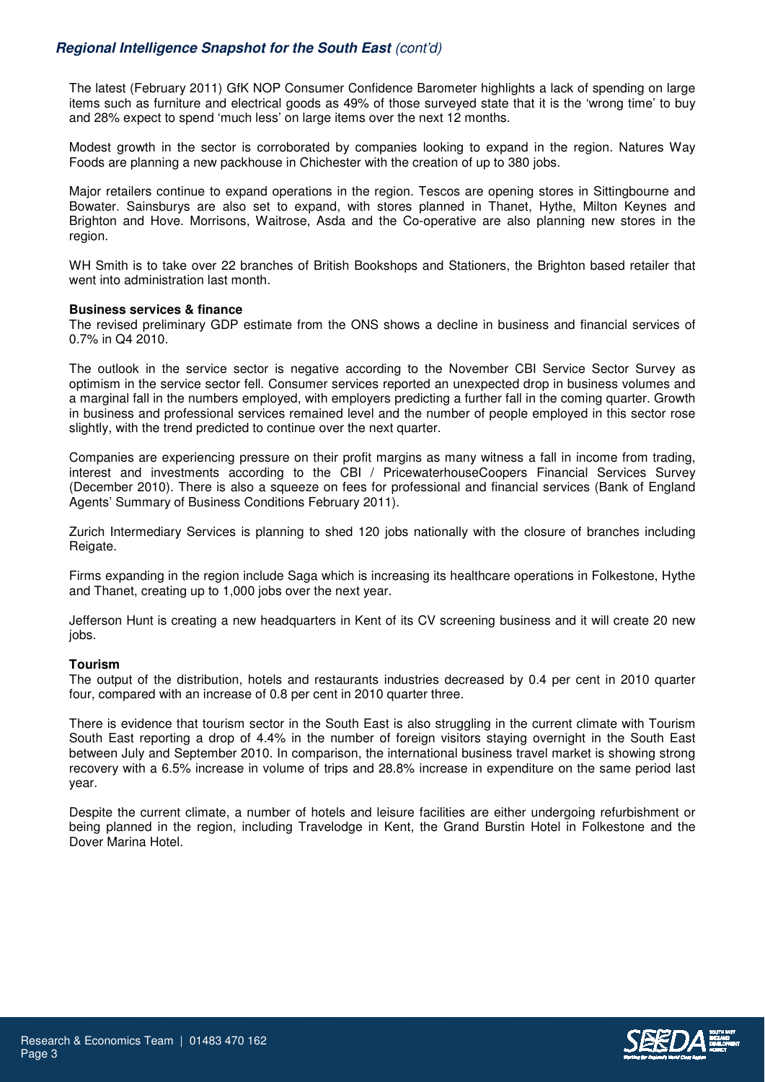### **Regional Intelligence Snapshot for the South East** (cont'd)

The latest (February 2011) GfK NOP Consumer Confidence Barometer highlights a lack of spending on large items such as furniture and electrical goods as 49% of those surveyed state that it is the 'wrong time' to buy and 28% expect to spend 'much less' on large items over the next 12 months.

Modest growth in the sector is corroborated by companies looking to expand in the region. Natures Way Foods are planning a new packhouse in Chichester with the creation of up to 380 jobs.

Major retailers continue to expand operations in the region. Tescos are opening stores in Sittingbourne and Bowater. Sainsburys are also set to expand, with stores planned in Thanet, Hythe, Milton Keynes and Brighton and Hove. Morrisons, Waitrose, Asda and the Co-operative are also planning new stores in the region.

WH Smith is to take over 22 branches of British Bookshops and Stationers, the Brighton based retailer that went into administration last month.

#### **Business services & finance**

The revised preliminary GDP estimate from the ONS shows a decline in business and financial services of 0.7% in Q4 2010.

The outlook in the service sector is negative according to the November CBI Service Sector Survey as optimism in the service sector fell. Consumer services reported an unexpected drop in business volumes and a marginal fall in the numbers employed, with employers predicting a further fall in the coming quarter. Growth in business and professional services remained level and the number of people employed in this sector rose slightly, with the trend predicted to continue over the next quarter.

Companies are experiencing pressure on their profit margins as many witness a fall in income from trading, interest and investments according to the CBI / PricewaterhouseCoopers Financial Services Survey (December 2010). There is also a squeeze on fees for professional and financial services (Bank of England Agents' Summary of Business Conditions February 2011).

Zurich Intermediary Services is planning to shed 120 jobs nationally with the closure of branches including Reigate.

Firms expanding in the region include Saga which is increasing its healthcare operations in Folkestone, Hythe and Thanet, creating up to 1,000 jobs over the next year.

Jefferson Hunt is creating a new headquarters in Kent of its CV screening business and it will create 20 new jobs.

#### **Tourism**

The output of the distribution, hotels and restaurants industries decreased by 0.4 per cent in 2010 quarter four, compared with an increase of 0.8 per cent in 2010 quarter three.

There is evidence that tourism sector in the South East is also struggling in the current climate with Tourism South East reporting a drop of 4.4% in the number of foreign visitors staying overnight in the South East between July and September 2010. In comparison, the international business travel market is showing strong recovery with a 6.5% increase in volume of trips and 28.8% increase in expenditure on the same period last year.

Despite the current climate, a number of hotels and leisure facilities are either undergoing refurbishment or being planned in the region, including Travelodge in Kent, the Grand Burstin Hotel in Folkestone and the Dover Marina Hotel.